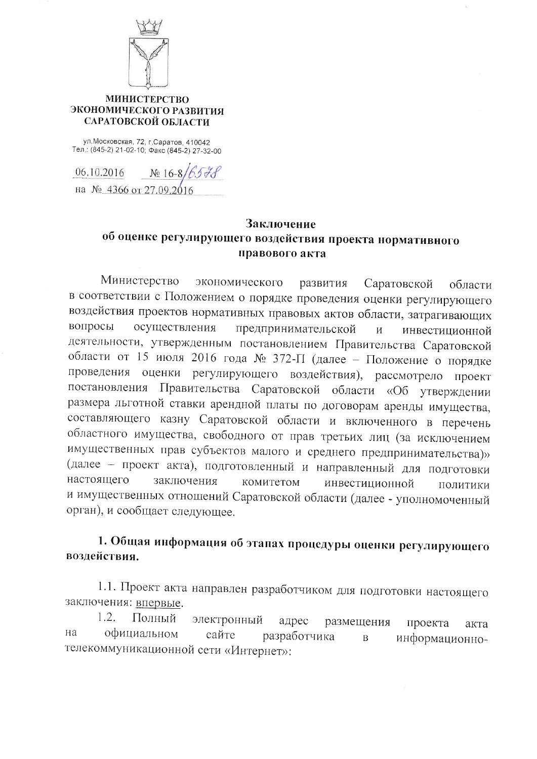

### **МИНИСТЕРСТВО** ЭКОНОМИЧЕСКОГО РАЗВИТИЯ САРАТОВСКОЙ ОБЛАСТИ

ул. Московская, 72, г. Саратов, 410042 Тел.: (845-2) 21-02-10; Факс (845-2) 27-32-00

06.10.2016  $N_2$  16-8 на № 4366 от 27.09.2016

# Заключение об оценке регулирующего воздействия проекта нормативного правового акта

Министерство экономического развития области Саратовской в соответствии с Положением о порядке проведения оценки регулирующего воздействия проектов нормативных правовых актов области, затрагивающих вопросы осуществления предпринимательской  $\overline{M}$ инвестиционной деятельности, утвержденным постановлением Правительства Саратовской области от 15 июля 2016 года № 372-П (далее - Положение о порядке проведения оценки регулирующего воздействия), рассмотрело проект постановления Правительства Саратовской области «Об утверждении размера льготной ставки арендной платы по договорам аренды имущества, составляющего казну Саратовской области и включенного в перечень областного имущества, свободного от прав третьих лиц (за исключением имущественных прав субъектов малого и среднего предпринимательства)» (далее - проект акта), подготовленный и направленный для подготовки настоящего заключения комитетом инвестиционной ПОЛИТИКИ и имущественных отношений Саратовской области (далее - уполномоченный орган), и сообщает следующее.

# 1. Общая информация об этапах процедуры оценки регулирующего воздействия.

1.1. Проект акта направлен разработчиком для подготовки настоящего заключения: впервые.

 $1.2.$ Полный электронный адрес размещения проекта акта на официальном сайте разработчика  $\overline{B}$ информационнотелекоммуникационной сети «Интернет»: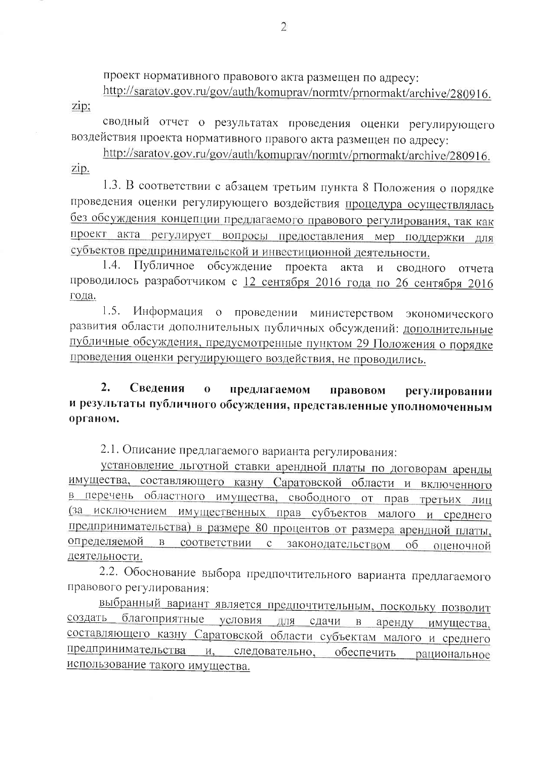проект нормативного правового акта размещен по адресу:

http://saratov.gov.ru/gov/auth/komuprav/normtv/prnormakt/archive/280916. zip;

сводный отчет о результатах проведения оценки регулирующего воздействия проекта нормативного правого акта размещен по адресу:

http://saratov.gov.ru/gov/auth/komuprav/normtv/prnormakt/archive/280916. zip.

1.3. В соответствии с абзацем третьим пункта 8 Положения о порядке проведения оценки регулирующего воздействия процедура осуществлялась без обсуждения концепции предлагаемого правового регулирования, так как проект акта регулирует вопросы предоставления мер поддержки для субъектов предпринимательской и инвестиционной деятельности.

 $1.4.$ Публичное обсуждение проекта акта  $\overline{M}$ сводного отчета проводилось разработчиком с 12 сентября 2016 года по 26 сентября 2016 года.

 $1.5.$ Информация о проведении министерством экономического развития области дополнительных публичных обсуждений: дополнительные публичные обсуждения, предусмотренные пунктом 29 Положения о порядке проведения оценки регулирующего воздействия, не проводились.

### $2$ . Свеления  $\overline{0}$ предлагаемом правовом регулировании и результаты публичного обсуждения, представленные уполномоченным органом.

2.1. Описание предлагаемого варианта регулирования:

установление льготной ставки арендной платы по договорам аренды имущества, составляющего казну Саратовской области и включенного в перечень областного имущества, свободного от прав третьих лиц (за исключением имущественных прав субъектов малого и среднего предпринимательства) в размере 80 процентов от размера арендной платы, определяемой  $B$ соответствии с законодательством  $0<sup>6</sup>$ оценочной деятельности.

2.2. Обоснование выбора предпочтительного варианта предлагаемого правового регулирования:

выбранный вариант является предпочтительным, поскольку позволит создать благоприятные условия для сдачи в аренду имущества, составляющего казну Саратовской области субъектам малого и среднего предпринимательства и, следовательно, обеспечить рациональное использование такого имущества.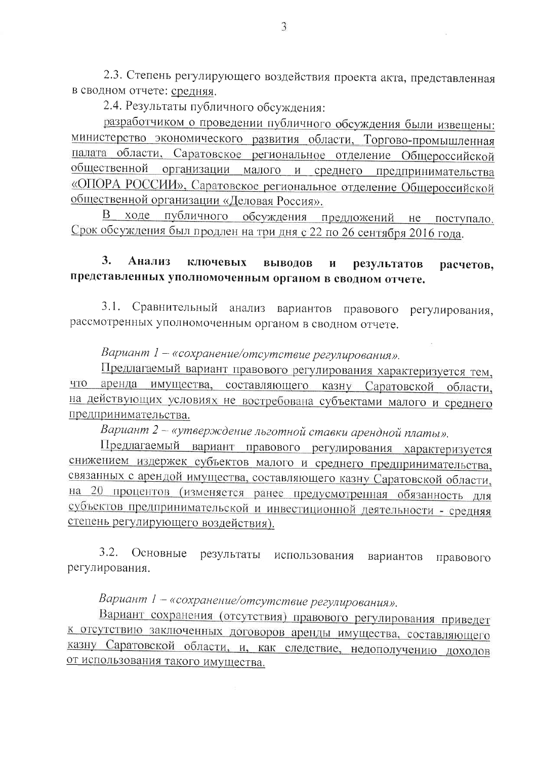2.3. Степень регулирующего воздействия проекта акта, представленная в сводном отчете: средняя.

2.4. Результаты публичного обсуждения:

разработчиком о проведении публичного обсуждения были извещены: министерство экономического развития области, Торгово-промышленная палата области, Саратовское региональное отделение Общероссийской общественной организации малого и среднего предпринимательства «ОПОРА РОССИИ», Саратовское региональное отделение Общероссийской общественной организации «Деловая Россия».

В ходе публичного обсуждения предложений не поступало. Срок обсуждения был продлен на три дня с 22 по 26 сентября 2016 года.

### $3.$ Анализ ключевых выволов  $\mathbf{M}$ результатов расчетов. представленных уполномоченным органом в сводном отчете.

Сравнительный анализ вариантов правового регулирования,  $3.1.$ рассмотренных уполномоченным органом в сводном отчете.

Вариант 1 - «сохранение/отсутствие регулирования».

Предлагаемый вариант правового регулирования характеризуется тем, что аренда имущества, составляющего казну Саратовской области, на действующих условиях не востребована субъектами малого и среднего предпринимательства.

Вариант 2 - «утверждение льготной ставки арендной платы».

Предлагаемый вариант правового регулирования характеризуется снижением издержек субъектов малого и среднего предпринимательства, связанных с арендой имущества, составляющего казну Саратовской области, на 20 процентов (изменяется ранее предусмотренная обязанность для субъектов предпринимательской и инвестиционной деятельности - средняя степень регулирующего воздействия).

 $3.2.$ Основные результаты использования вариантов правового регулирования.

Вариант 1 - «сохранение/отсутствие регулирования».

Вариант сохранения (отсутствия) правового регулирования приведет к отсутствию заключенных договоров аренды имущества, составляющего казну Саратовской области, и, как следствие, недополучению доходов от использования такого имущества.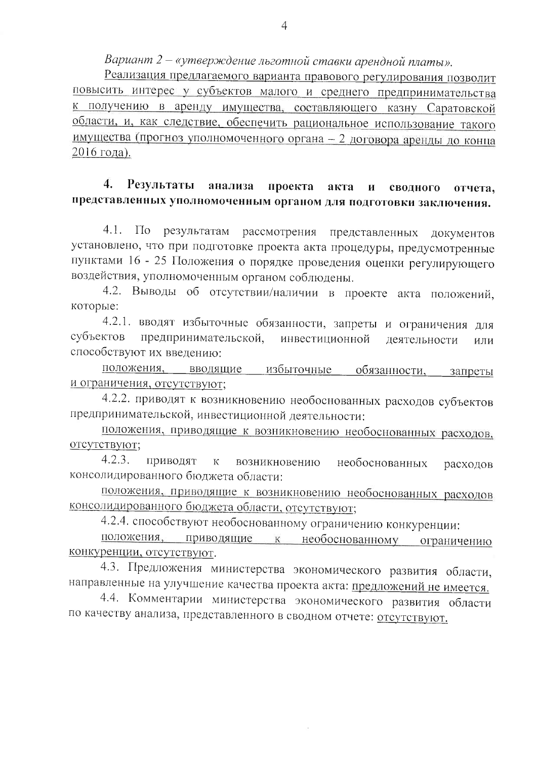Вариант 2 - «утверждение льготной ставки арендной платы».

Реализация предлагаемого варианта правового регулирования позволит повысить интерес у субъектов малого и среднего предпринимательства к получению в аренду имущества, составляющего казну Саратовской области, и, как следствие, обеспечить рациональное использование такого имущества (прогноз уполномоченного органа - 2 договора аренды до конца 2016 года).

#### 4. Результаты анализа проекта акта И сводного отчета, представленных уполномоченным органом для подготовки заключения.

 $4.1.$  $\Pi$ <sub>o</sub> результатам рассмотрения представленных документов установлено, что при подготовке проекта акта процедуры, предусмотренные пунктами 16 - 25 Положения о порядке проведения оценки регулирующего воздействия, уполномоченным органом соблюдены.

4.2. Выводы об отсутствии/наличии в проекте акта положений, которые:

4.2.1. вводят избыточные обязанности, запреты и ограничения для субъектов предпринимательской, инвестиционной деятельности или способствуют их введению:

положения, вводящие избыточные обязанности, запреты и ограничения, отсутствуют;

4.2.2. приводят к возникновению необоснованных расходов субъектов предпринимательской, инвестиционной деятельности:

положения, приводящие к возникновению необоснованных расходов, отсутствуют;

 $4.2.3.$ приводят возникновению  $\overline{\mathbf{K}}$ необоснованных расходов консолидированного бюджета области:

положения, приводящие к возникновению необоснованных расходов консолидированного бюджета области, отсутствуют;

4.2.4. способствуют необоснованному ограничению конкуренции:

необоснованному ограничению положения, приводящие  $K$ конкуренции, отсутствуют.

4.3. Предложения министерства экономического развития области, направленные на улучшение качества проекта акта: предложений не имеется.

4.4. Комментарии министерства экономического развития области по качеству анализа, представленного в сводном отчете: отсутствуют.